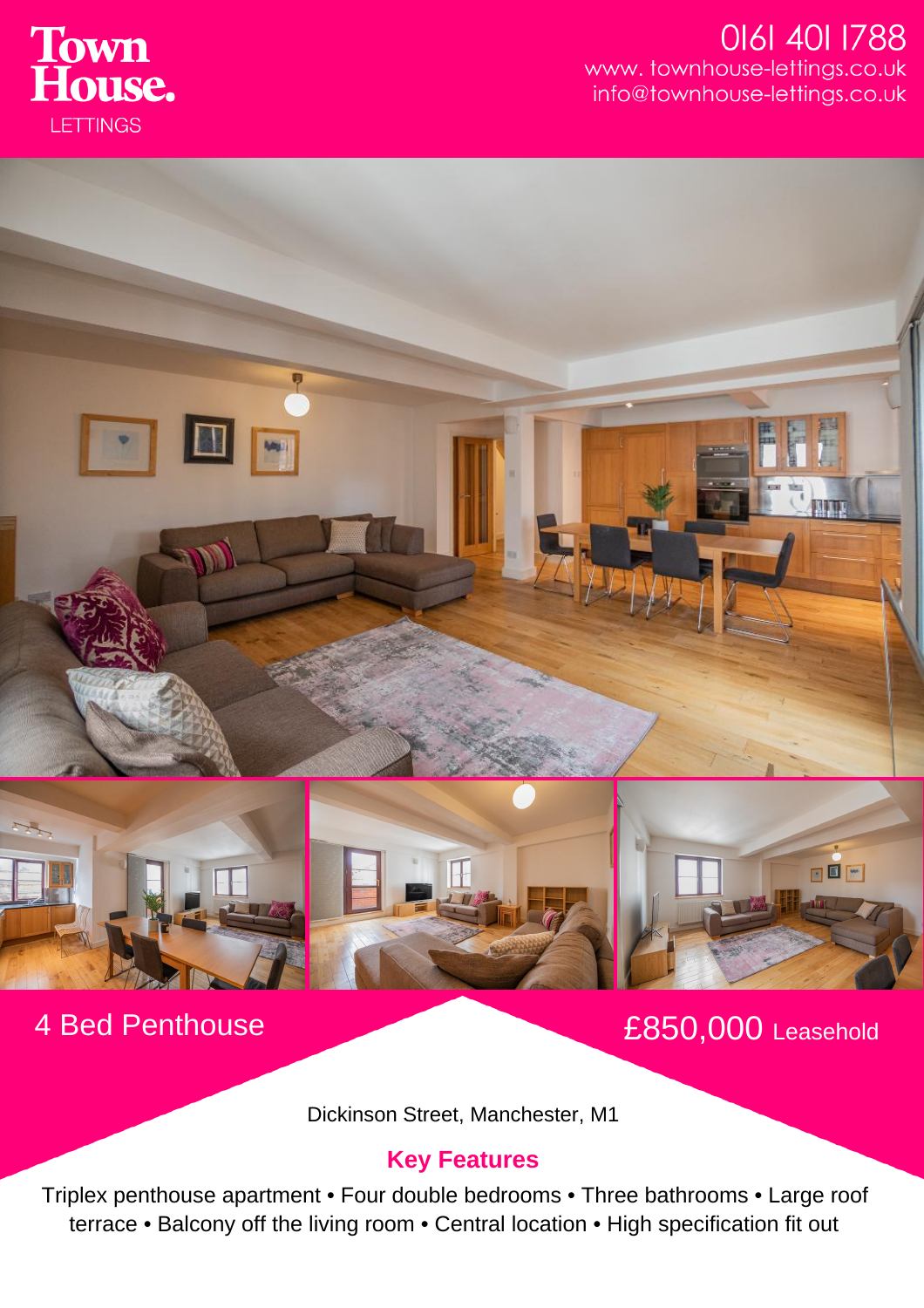

## 0161 401 1788 www.townhouse-lettings.co.uk info@townhouse-lettings.co.uk





OOH

Dickinson Street, Manchester, M1

## **Key Features**

Triplex penthouse apartment • Four double bedrooms • Three bathrooms • Large roof terrace • Balcony off the living room • Central location • High specification fit out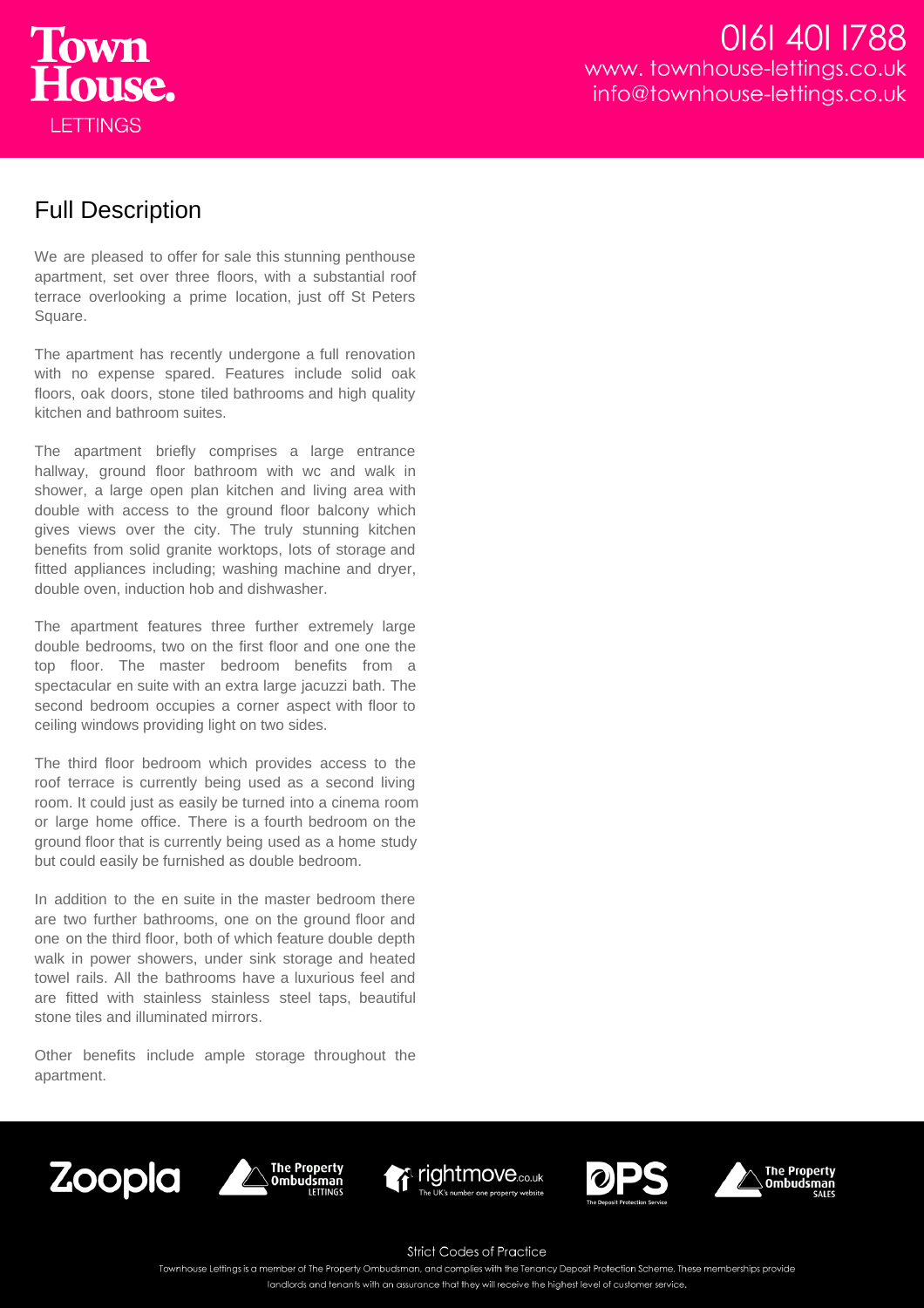

## Full Description

We are pleased to offer for sale this stunning penthouse apartment, set over three floors, with a substantial roof terrace overlooking a prime location, just off St Peters Square.

The apartment has recently undergone a full renovation with no expense spared. Features include solid oak floors, oak doors, stone tiled bathrooms and high quality kitchen and bathroom suites.

The apartment briefly comprises a large entrance hallway, ground floor bathroom with wc and walk in shower, a large open plan kitchen and living area with double with access to the ground floor balcony which gives views over the city. The truly stunning kitchen benefits from solid granite worktops, lots of storage and fitted appliances including; washing machine and dryer, double oven, induction hob and dishwasher.

The apartment features three further extremely large double bedrooms, two on the first floor and one one the top floor. The master bedroom benefits from a spectacular en suite with an extra large jacuzzi bath. The second bedroom occupies a corner aspect with floor to ceiling windows providing light on two sides.

The third floor bedroom which provides access to the roof terrace is currently being used as a second living room. It could just as easily be turned into a cinema room or large home office. There is a fourth bedroom on the ground floor that is currently being used as a home study but could easily be furnished as double bedroom.

In addition to the en suite in the master bedroom there are two further bathrooms, one on the ground floor and one on the third floor, both of which feature double depth walk in power showers, under sink storage and heated towel rails. All the bathrooms have a luxurious feel and are fitted with stainless stainless steel taps, beautiful stone tiles and illuminated mirrors.

Other benefits include ample storage throughout the apartment.











**Strict Codes of Practice** 

Townhouse Lettings is a member of The Property Ombudsman, and complies with the Tenancy Deposit Protection Scheme. These memberships provide

landlords and tenants with an assurance that they will receive the highest level of customer service.